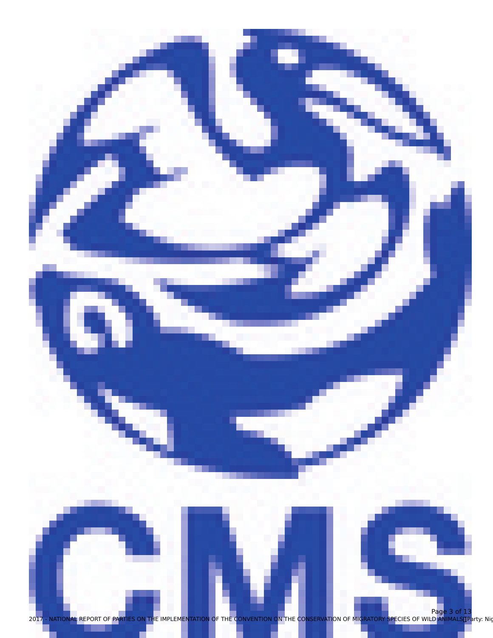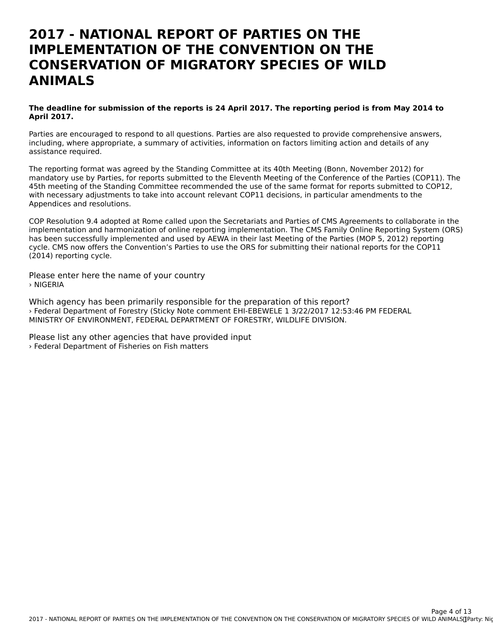#### **2017 - NATIONAL REPORT OF PARTIES ON THEIMPLEMENTATION OF THE CONVENTION ON THECONSERVATION OF MIGRATORY SPECIES OF WILDANIMALS**

#### **The deadline for submission of the reports is 24 April 2017. The reporting period is from May 2014 to April 2017.**

Parties are encouraged to respond to all questions. Parties are also requested to provide comprehensive answers, including, where appropriate, a summary of activities, information on factors limiting action and details of any mcluumg, where app<br>assistance required.

The reporting format was agreed by the Standing Committee at its 40th Meeting (Bonn, November 2012) for mandatory use by Parties, for reports submitted to the Eleventh Meeting of the Conference of the Parties (COP11). The 45th meeting of the Standing Committee recommended the use of the same format for reports submitted to COP12, 45th meeting of the Standing Committee recommended the use of the same format for reports submitted to<br>With necessary adjustments to take into account relevant COP11 decisions, in particular amendments to the Appendices and resolutions.

COP Resolution 9.4 adopted at Rome called upon the Secretariats and Parties of CMS Agreements to collaborate in the implementation and harmonization of online reporting implementation. The CMS Family Online Reporting System (ORS) has been successfully implemented and used by AEWA in their last Meeting of the Parties (MOP 5, 2012) reporting cycle. CMS now offers the Convention's Parties to use the ORS for submitting their national reports for the COP11 (2014) reporting cycle.

Please enter here the name of your country › NIGERIA

Which agency has been primarily responsible for the preparation of this report? › Federal Department of Forestry (Sticky Note comment EHI-EBEWELE 1 3/22/2017 12:53:46 PM FEDERAL MINISTRY OF ENVIRONMENT, FEDERAL DEPARTMENT OF FORESTRY, WILDLIFE DIVISION.

Please list any other agencies that have provided input › Federal Department of Fisheries on Fish matters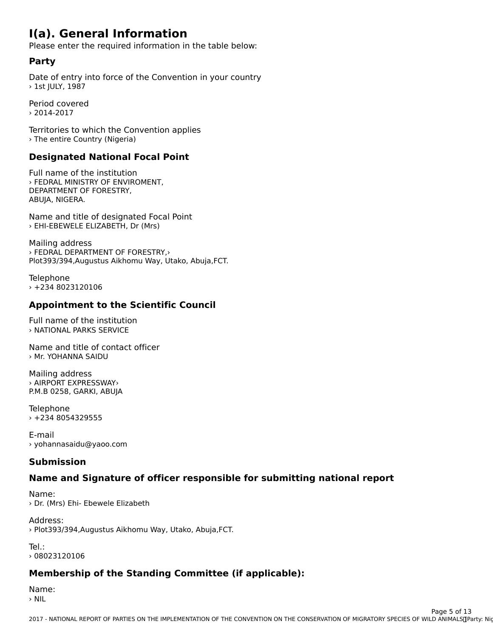#### **I(a). General Information**

Please enter the required information in the table below:

#### **Party**

Date of entry into force of the Convention in your country  $\rightarrow$  1st JULY, 1987

Period covered› 2014-2017

Territories to which the Convention applies › The entire Country (Nigeria)

### **Designated National Focal Point**

Full name of the institution › FEDRAL MINISTRY OF ENVIROMENT, DEPARTMENT OF FORESTRY, ABUJA, NIGERA.ABUJA, NIGERA.

Name and title of designated Focal Point › EHI-EBEWELE ELIZABETH, Dr (Mrs)

Mailing address › FEDRAL DEPARTMENT OF FORESTRY,› Plot393/394,Augustus Aikhomu Way, Utako, Abuja,FCT.

Telephone › +234 8023120106

### **Appointment to the Scientific Council**

Full name of the institution › NATIONAL PARKS SERVICE

Name and title of contact officer› Mr. YOHANNA SAIDU

Mailing address › AIRPORT EXPRESSWAY›P.M.B 0258, GARKI, ABUJA

**Telephone** › +234 8054329555

E-mail› yohannasaidu@yaoo.com

#### **Submission**

# **Name and Signature of officer responsible for submitting national report**

Name:› Dr. (Mrs) Ehi- Ebewele Elizabeth

Address:› Plot393/394,Augustus Aikhomu Way, Utako, Abuja,FCT.

Tel.:› 08023120106

# **Membership of the Standing Committee (if applicable):**

Name: › NIL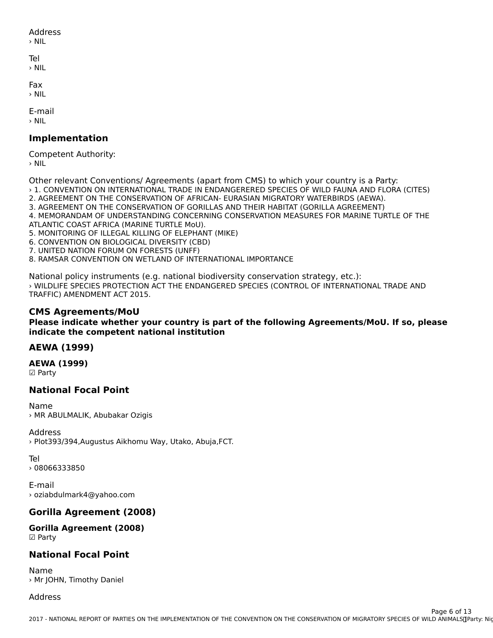#### Address

› NIL

Tel › NIL

Fax

› NIL

E-mail› NIL

#### **Implementation**

Competent Authority:  $>$  NIL

Other relevant Conventions/ Agreements (apart from CMS) to which your country is a Party:

› 1. CONVENTION ON INTERNATIONAL TRADE IN ENDANGERERED SPECIES OF WILD FAUNA AND FLORA (CITES) 2. AGREEMENT ON THE CONSERVATION OF AFRICAN- EURASIAN MIGRATORY WATERBIRDS (AEWA).

3. AGREEMENT ON THE CONSERVATION OF GORILLAS AND THEIR HABITAT (GORILLA AGREEMENT)

3. AGREEMENT ON THE CONSERVATION OF GORILLAS AND THEIR HABITAT (GORILLA AGREEMENT)

4. MEMORANDAM OF UNDERSTANDING CONCERNING CONSERVATION MEASURES FOR MARINE TURTLE OF THE ATLANTIC COAST AFRICA (MARINE TURTLE MoU).

5. MONITORING OF ILLEGAL KILLING OF ELEPHANT (MIKE)6. CONVENTION ON BIOLOGICAL DIVERSITY (CBD)

6. CONVENTION ON BIOLOGICAL DIVERSITY (CBD)<br>7. UNITED NATION FORUM ON FORESTS (UNFF)

8. RAMSAR CONVENTION ON WETLAND OF INTERNATIONAL IMPORTANCE

National policy instruments (e.g. national biodiversity conservation strategy, etc.):› WILDLIFE SPECIES PROTECTION ACT THE ENDANGERED SPECIES (CONTROL OF INTERNATIONAL TRADE AND TRAFFIC) AMENDMENT ACT 2015.

#### **CMS Agreements/MoU**

**Please indicate whether your country is part of the following Agreements/MoU. If so, please indicate the competent national institution**indicate the competent national institution

#### **AEWA (1999)**

**AEWA (1999)** ☑ Party

#### **National Focal Point**

Name› MR ABULMALIK, Abubakar Ozigis

Address › Plot393/394,Augustus Aikhomu Way, Utako, Abuja,FCT.

Tel

› 08066333850

E-mail› oziabdulmark4@yahoo.com

#### **Gorilla Agreement (2008)**

**Gorilla Agreement (2008)**  $\boxtimes$  Party

#### **National Focal Point**

Name› Mr JOHN, Timothy Daniel

#### Address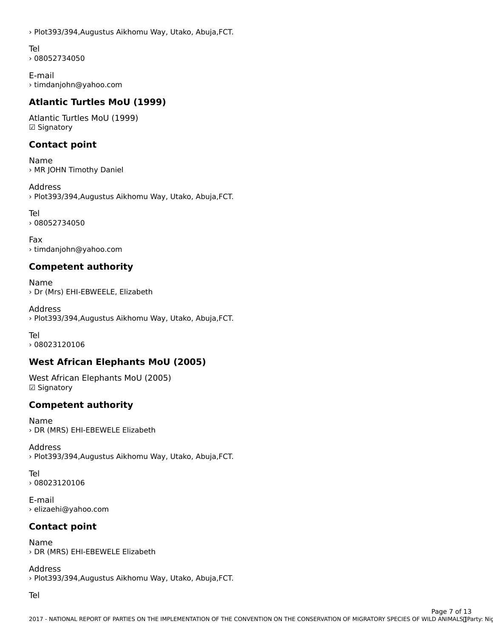› Plot393/394,Augustus Aikhomu Way, Utako, Abuja,FCT.

Tel

› 08052734050

E-mail › timdanjohn@yahoo.com

### **Atlantic Turtles MoU (1999)**

Atlantic Turtles MoU (1999) ☑ Signatory

### **Contact point**

Name› MR JOHN Timothy Daniel

Address › Plot393/394,Augustus Aikhomu Way, Utako, Abuja,FCT.

Tel› 08052734050

Fax › timdanjohn@yahoo.com

# **Competent authority**

Name › Dr (Mrs) EHI-EBWEELE, Elizabeth

Address› Plot393/394,Augustus Aikhomu Way, Utako, Abuja,FCT.

Tel› 08023120106

# **West African Elephants MoU (2005)**

West African Elephants MoU (2005) ☑ Signatory

#### **Competent authority**

Name› DR (MRS) EHI-EBEWELE Elizabeth

Address › Plot393/394,Augustus Aikhomu Way, Utako, Abuja,FCT.

Tel › 08023120106

E-mail› elizaehi@yahoo.com

### **Contact point**

Name› DR (MRS) EHI-EBEWELE Elizabeth

Address › Plot393/394,Augustus Aikhomu Way, Utako, Abuja,FCT.

Tel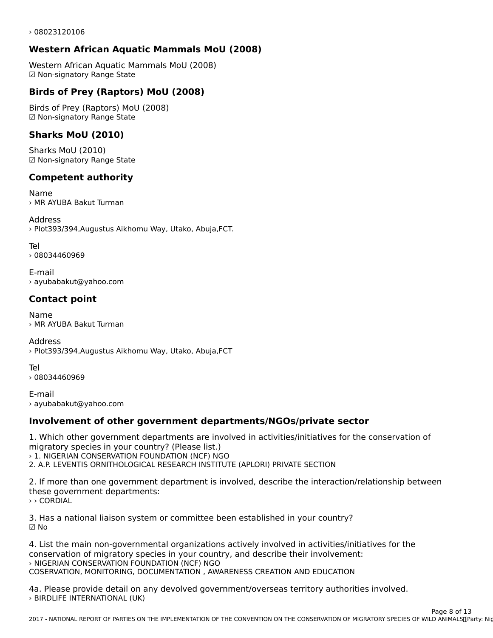› 08023120106

### **Western African Aquatic Mammals MoU (2008)**

Western African Aquatic Mammals MoU (2008) western Antican Aquatic Ma<br>☑ Non-signatory Range State

#### **Birds of Prey (Raptors) MoU (2008)**

Birds of Prey (Raptors) MoU (2008)☑ Non-signatory Range State

### **Sharks MoU (2010)**

Sharks MoU (2010) ☑ Non-signatory Range State

### **Competent authority**

Name › MR AYUBA Bakut Turman

Address› Plot393/394,Augustus Aikhomu Way, Utako, Abuja,FCT.

Tel

› 08034460969

E-mail› ayubabakut@yahoo.com

#### **Contact point**

Name› MR AYUBA Bakut Turman

Address › Plot393/394,Augustus Aikhomu Way, Utako, Abuja,FCT

Tel

› 08034460969

E-mail › ayubabakut@yahoo.com

### **Involvement of other government departments/NGOs/private sector**

1. Which other government departments are involved in activities/initiatives for the conservation of migratory species in your country? (Please list.)

› 1. NIGERIAN CONSERVATION FOUNDATION (NCF) NGO

2. A.P. LEVENTIS ORNITHOLOGICAL RESEARCH INSTITUTE (APLORI) PRIVATE SECTION

2. If more than one government department is involved, describe the interaction/relationship between these government departments:these government departments: › › CORDIAL

3. Has a national liaison system or committee been established in your country?

4. List the main non-governmental organizations actively involved in activities/initiatives for the conservation of migratory species in your country, and describe their involvement: › NIGERIAN CONSERVATION FOUNDATION (NCF) NGO COSERVATION, MONITORING, DOCUMENTATION , AWARENESS CREATION AND EDUCATION

4a. Please provide detail on any devolved government/overseas territory authorities involved. › BIRDLIFE INTERNATIONAL (UK)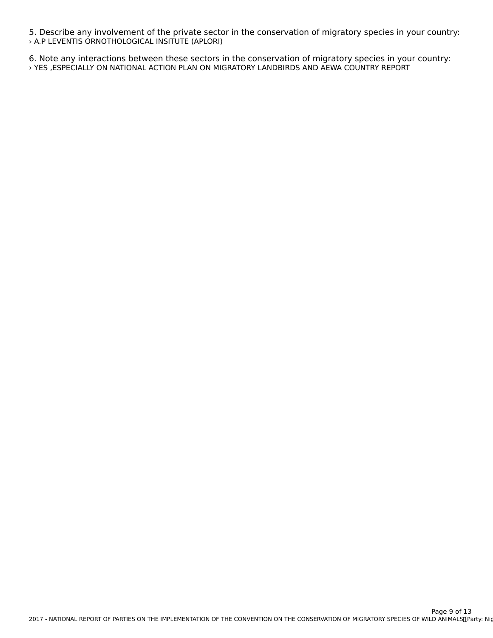5. Describe any involvement of the private sector in the conservation of migratory species in your country: › A.P LEVENTIS ORNOTHOLOGICAL INSITUTE (APLORI)

6. Note any interactions between these sectors in the conservation of migratory species in your country: › YES ,ESPECIALLY ON NATIONAL ACTION PLAN ON MIGRATORY LANDBIRDS AND AEWA COUNTRY REPORT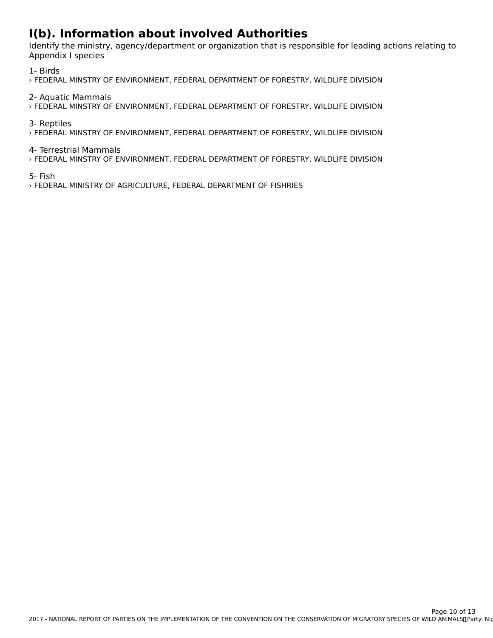# **I(b). Information about involved Authorities**

Identify the ministry, agency/department or organization that is responsible for leading actions relating to Appendix I species

1- Birds

› FEDERAL MINSTRY OF ENVIRONMENT, FEDERAL DEPARTMENT OF FORESTRY, WILDLIFE DIVISION

2- Aquatic Mammals

› FEDERAL MINSTRY OF ENVIRONMENT, FEDERAL DEPARTMENT OF FORESTRY, WILDLIFE DIVISION

3- Reptiles

› FEDERAL MINSTRY OF ENVIRONMENT, FEDERAL DEPARTMENT OF FORESTRY, WILDLIFE DIVISION

4- Terrestrial Mammals

› FEDERAL MINSTRY OF ENVIRONMENT, FEDERAL DEPARTMENT OF FORESTRY, WILDLIFE DIVISION

5- Fish

› FEDERAL MINISTRY OF AGRICULTURE, FEDERAL DEPARTMENT OF FISHRIES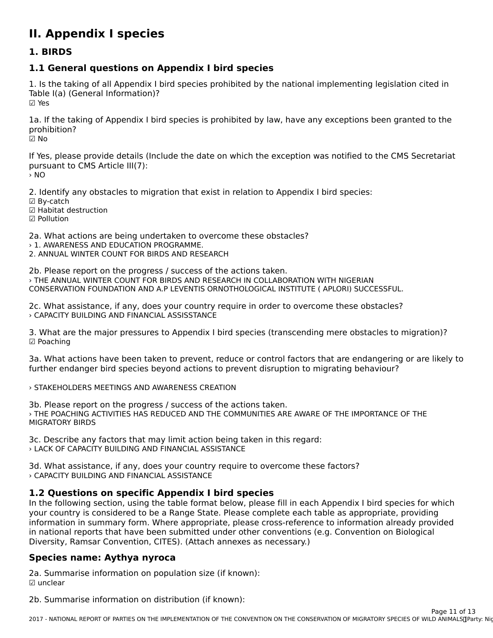# **II. Appendix I species**

#### **1. BIRDS**

### **1.1 General questions on Appendix I bird species**

1. Is the taking of all Appendix I bird species prohibited by the national implementing legislation cited in Table I(a) (General Information)? ☑ Yes

1a. If the taking of Appendix I bird species is prohibited by law, have any exceptions been granted to the prohibition?prohibition?<br>☑ No

If Yes, please provide details (Include the date on which the exception was notified to the CMS Secretariat pursuant to CMS Article III(7):<br>> NO

2. Identify any obstacles to migration that exist in relation to Appendix I bird species:

- ☑ By-catch
- ☑ Habitat destruction
- ☑ Pollution

2a. What actions are being undertaken to overcome these obstacles?

- › 1. AWARENESS AND EDUCATION PROGRAMME.
- **2. ANNUAL WINTER COUNT FOR BIRDS AND RESEARCH**

2b. Please report on the progress / success of the actions taken. › THE ANNUAL WINTER COUNT FOR BIRDS AND RESEARCH IN COLLABORATION WITH NIGERIAN CONSERVATION FOUNDATION AND A.P LEVENTIS ORNOTHOLOGICAL INSTITUTE ( APLORI) SUCCESSFUL.

2c. What assistance, if any, does your country require in order to overcome these obstacles? › CAPACITY BUILDING AND FINANCIAL ASSISSTANCE

3. What are the major pressures to Appendix I bird species (transcending mere obstacles to migration)? ☑ Poaching

3a. What actions have been taken to prevent, reduce or control factors that are endangering or are likely to

#### › STAKEHOLDERS MEETINGS AND AWARENESS CREATION

3b. Please report on the progress / success of the actions taken. › THE POACHING ACTIVITIES HAS REDUCED AND THE COMMUNITIES ARE AWARE OF THE IMPORTANCE OF THE MIGRATORY BIRDS

3c. Describe any factors that may limit action being taken in this regard: › LACK OF CAPACITY BUILDING AND FINANCIAL ASSISTANCE

3d. What assistance, if any, does your country require to overcome these factors? › CAPACITY BUILDING AND FINANCIAL ASSISTANCE

### **1.2 Questions on specific Appendix I bird species**

ITE QUESTIONS ON SPECIFIC APPENDIX I DIVIS SPECIES<br>In the following section, using the table format below, please fill in each Appendix I bird species for which your country is considered to be a nange state. I lease complete each table as appropriate, providing in national reports that have been submitted under other conventions (e.g. Convention on Biologicalni national reports that nave been submitted under other conventions (e.g. convention on biological Diversity, Ramsar Convention, CITES). (Attach annexes as necessary.)

#### **Species name: Aythya nyroca**

2a. Summarise information on population size (if known): za. ∋um<br>☑ unclear

2b. Summarise information on distribution (if known):